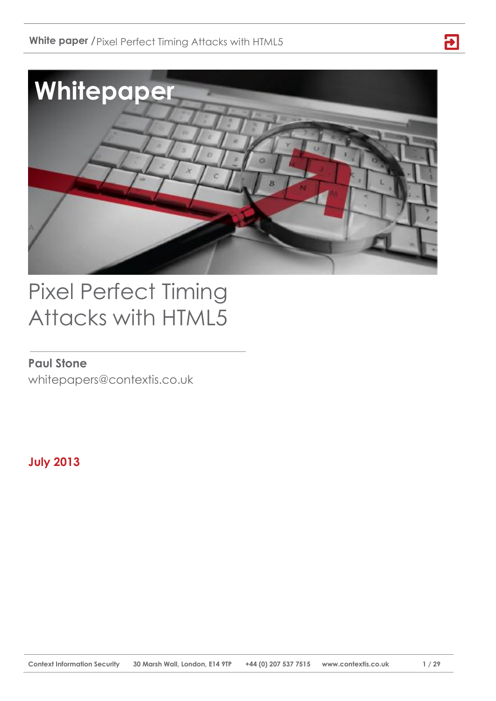

**日** 

# Pixel Perfect Timing Attacks with HTML5

# **Paul Stone**

whitepapers@contextis.co.uk

**July 2013**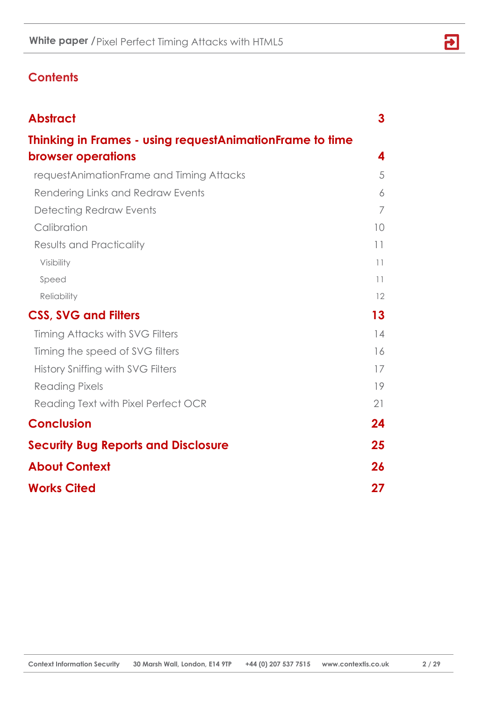# **Contents**

| <b>Abstract</b>                                          | 3  |
|----------------------------------------------------------|----|
| Thinking in Frames - using requestAnimationFrame to time |    |
| <b>browser operations</b>                                | 4  |
| requestAnimationFrame and Timing Attacks                 | 5  |
| Rendering Links and Redraw Events                        | 6  |
| Detecting Redraw Events                                  | 7  |
| Calibration                                              | 10 |
| Results and Practicality                                 | 11 |
| Visibility                                               | 11 |
| Speed                                                    | 11 |
| Reliability                                              | 12 |
| <b>CSS, SVG and Filters</b>                              | 13 |
| Timing Attacks with SVG Filters                          | 14 |
| Timing the speed of SVG filters                          | 16 |
| History Sniffing with SVG Filters                        | 17 |
| <b>Reading Pixels</b>                                    | 19 |
| Reading Text with Pixel Perfect OCR                      | 21 |
| <b>Conclusion</b>                                        | 24 |
| <b>Security Bug Reports and Disclosure</b>               | 25 |
| <b>About Context</b>                                     | 26 |
| <b>Works Cited</b>                                       | 27 |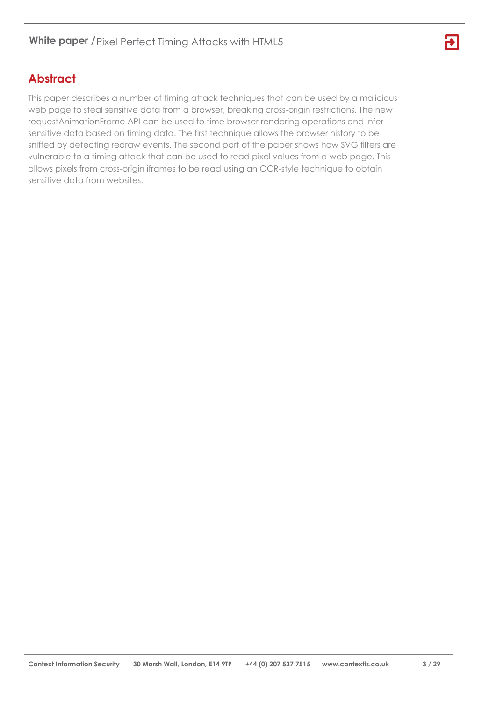# <span id="page-2-0"></span>**Abstract**

This paper describes a number of timing attack techniques that can be used by a malicious web page to steal sensitive data from a browser, breaking cross-origin restrictions. The new requestAnimationFrame API can be used to time browser rendering operations and infer sensitive data based on timing data. The first technique allows the browser history to be sniffed by detecting redraw events. The second part of the paper shows how SVG filters are vulnerable to a timing attack that can be used to read pixel values from a web page. This allows pixels from cross-origin iframes to be read using an OCR-style technique to obtain sensitive data from websites.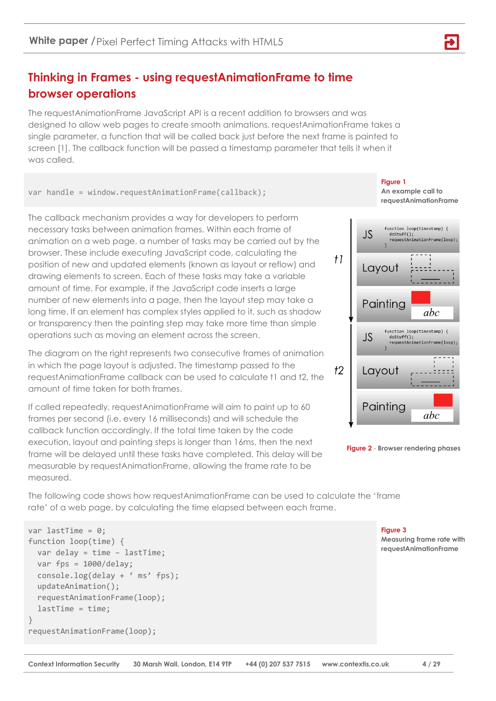# <span id="page-3-0"></span>**Thinking in Frames - using requestAnimationFrame to time browser operations**

The requestAnimationFrame JavaScript API is a recent addition to browsers and was designed to allow web pages to create smooth animations. requestAnimationFrame takes a single parameter, a function that will be called back just before the next frame is painted to screen [1]. The callback function will be passed a timestamp parameter that tells it when it was called.

var handle = window.requestAnimationFrame(callback);

The callback mechanism provides a way for developers to perform necessary tasks between animation frames. Within each frame of animation on a web page, a number of tasks may be carried out by the browser. These include executing JavaScript code, calculating the position of new and updated elements (known as layout or reflow) and drawing elements to screen. Each of these tasks may take a variable amount of time. For example, if the JavaScript code inserts a large number of new elements into a page, then the layout step may take a long time. If an element has complex styles applied to it, such as shadow or transparency then the painting step may take more time than simple operations such as moving an element across the screen.

The diagram on the right represents two consecutive frames of animation in which the page layout is adjusted. The timestamp passed to the requestAnimationFrame callback can be used to calculate t1 and t2, the amount of time taken for both frames.

If called repeatedly, requestAnimationFrame will aim to paint up to 60 frames per second (i.e. every 16 milliseconds) and will schedule the callback function accordingly. If the total time taken by the code execution, layout and painting steps is longer than 16ms, then the next frame will be delayed until these tasks have completed. This delay will be measurable by requestAnimationFrame, allowing the frame rate to be measured.

**Figure 1 An example call to requestAnimationFrame** 



**Figure 2** - **Browser rendering phases**

The following code shows how requestAnimationFrame can be used to calculate the 'frame rate' of a web page, by calculating the time elapsed between each frame.

**Context Information Security 30 Marsh Wall, London, E14 9TP +44 (0) 207 537 7515 www.contextis.co.uk 4 / 29**

```
var lastTime = 0;
function loop(time) {
   var delay = time – lastTime;
   var fps = 1000/delay;
   console.log(delay + ' ms' fps);
   updateAnimation();
   requestAnimationFrame(loop);
   lastTime = time;
}
requestAnimationFrame(loop);
```
**Figure 3**

**Measuring frame rate with requestAnimationFrame**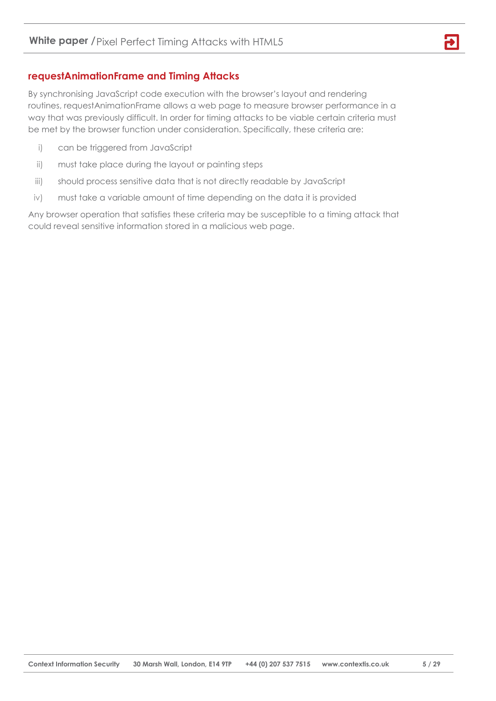# <span id="page-4-0"></span>**requestAnimationFrame and Timing Attacks**

By synchronising JavaScript code execution with the browser's layout and rendering routines, requestAnimationFrame allows a web page to measure browser performance in a way that was previously difficult. In order for timing attacks to be viable certain criteria must be met by the browser function under consideration. Specifically, these criteria are:

- i) can be triggered from JavaScript
- ii) must take place during the layout or painting steps
- iii) should process sensitive data that is not directly readable by JavaScript
- iv) must take a variable amount of time depending on the data it is provided

Any browser operation that satisfies these criteria may be susceptible to a timing attack that could reveal sensitive information stored in a malicious web page.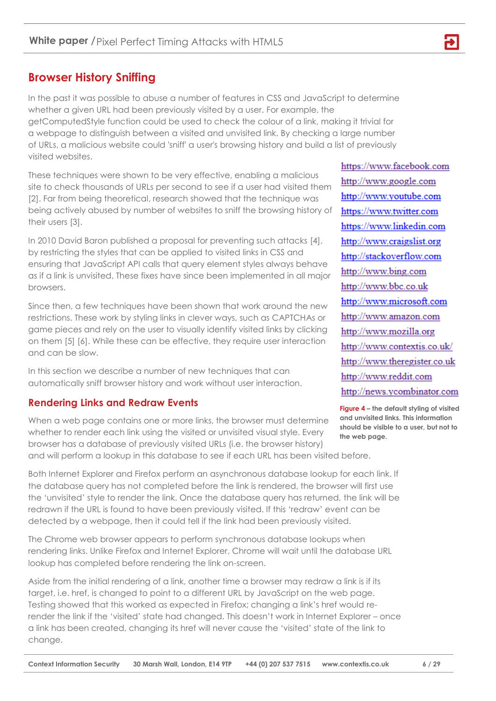# **Browser History Sniffing**

In the past it was possible to abuse a number of features in CSS and JavaScript to determine whether a given URL had been previously visited by a user. For example, the getComputedStyle function could be used to check the colour of a link, making it trivial for a webpage to distinguish between a visited and unvisited link. By checking a large number of URLs, a malicious website could 'sniff' a user's browsing history and build a list of previously visited websites.

These techniques were shown to be very effective, enabling a malicious site to check thousands of URLs per second to see if a user had visited them [2]. Far from being theoretical, research showed that the technique was being actively abused by number of websites to sniff the browsing history of their users [3].

In 2010 David Baron published a proposal for preventing such attacks [4], by restricting the styles that can be applied to visited links in CSS and ensuring that JavaScript API calls that query element styles always behave as if a link is unvisited. These fixes have since been implemented in all major browsers.

Since then, a few techniques have been shown that work around the new restrictions. These work by styling links in clever ways, such as CAPTCHAs or game pieces and rely on the user to visually identify visited links by clicking on them [5] [6]. While these can be effective, they require user interaction and can be slow.

In this section we describe a number of new techniques that can automatically sniff browser history and work without user interaction.

# <span id="page-5-0"></span>**Rendering Links and Redraw Events**

When a web page contains one or more links, the browser must determine whether to render each link using the visited or unvisited visual style. Every browser has a database of previously visited URLs (i.e. the browser history) and will perform a lookup in this database to see if each URL has been visited before.

Both Internet Explorer and Firefox perform an asynchronous database lookup for each link. If the database query has not completed before the link is rendered, the browser will first use the 'unvisited' style to render the link. Once the database query has returned, the link will be redrawn if the URL is found to have been previously visited. If this 'redraw' event can be detected by a webpage, then it could tell if the link had been previously visited.

The Chrome web browser appears to perform synchronous database lookups when rendering links. Unlike Firefox and Internet Explorer, Chrome will wait until the database URL lookup has completed before rendering the link on-screen.

Aside from the initial rendering of a link, another time a browser may redraw a link is if its target, i.e. href, is changed to point to a different URL by JavaScript on the web page. Testing showed that this worked as expected in Firefox; changing a link's href would rerender the link if the 'visited' state had changed. This doesn't work in Internet Explorer – once a link has been created, changing its href will never cause the 'visited' state of the link to change.

https://www.facebook.com http://www.google.com http://www.youtube.com https://www.twitter.com https://www.linkedin.com http://www.craigslist.org http://stackoverflow.com http://www.bing.com http://www.bbc.co.uk http://www.microsoft.com http://www.amazon.com http://www.mozilla.org http://www.contextis.co.uk/ http://www.theregister.co.uk http://www.reddit.com http://news.ycombinator.com

**Figure 4 – the default styling of visited and unvisited links. This information should be visible to a user, but not to the web page.**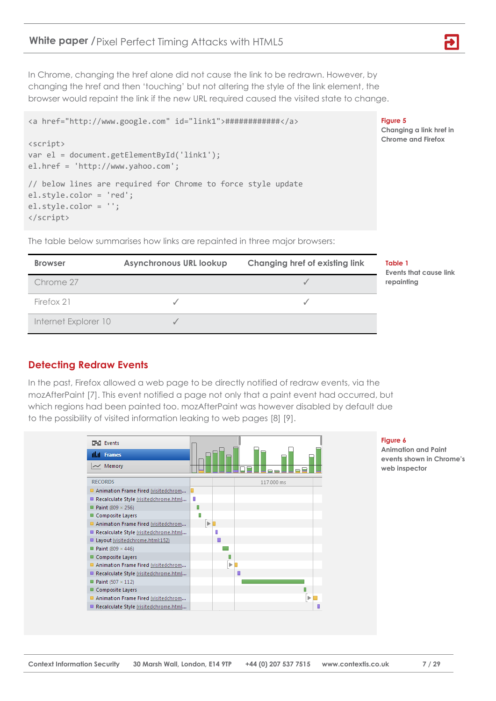In Chrome, changing the href alone did not cause the link to be redrawn. However, by changing the href and then 'touching' but not altering the style of the link element, the browser would repaint the link if the new URL required caused the visited state to change.

```
<a href="http://www.google.com" id="link1">############</a>
```

```
<script>
var el = document.getElementById('link1');
el.href = 'http://www.yahoo.com';
// below lines are required for Chrome to force style update
el.style.color = 'red';
el.style.color = '';
</script>
```
The table below summarises how links are repainted in three major browsers:

| <b>Browser</b>       | <b>Asynchronous URL lookup</b> | Changing href of existing link |
|----------------------|--------------------------------|--------------------------------|
| Chrome 27            |                                |                                |
| Firefox 21           |                                |                                |
| Internet Explorer 10 |                                |                                |

#### **Table 1**

**Figure 5**

**Changing a link href in Chrome and Firefox**

**Events that cause link repainting**

# <span id="page-6-0"></span>**Detecting Redraw Events**

In the past, Firefox allowed a web page to be directly notified of redraw events, via the mozAfterPaint [7]. This event notified a page not only that a paint event had occurred, but which regions had been painted too. mozAfterPaint was however disabled by default due to the possibility of visited information leaking to web pages [8] [9].



#### **Figure 6**

**Animation and Paint events shown in Chrome's web inspector**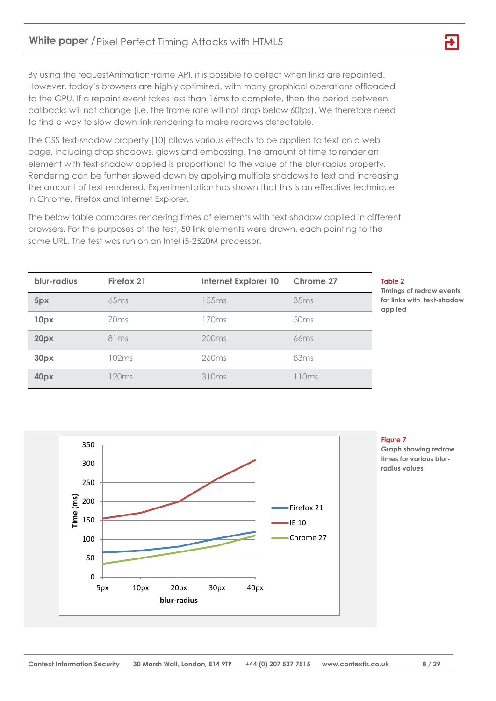By using the requestAnimationFrame API, it is possible to detect when links are repainted. However, today's browsers are highly optimised, with many graphical operations offloaded to the GPU. If a repaint event takes less than 16ms to complete, then the period between callbacks will not change (i.e. the frame rate will not drop below 60fps). We therefore need to find a way to slow down link rendering to make redraws detectable.

The CSS text-shadow property [10] allows various effects to be applied to text on a web page, including drop shadows, glows and embossing. The amount of time to render an element with text-shadow applied is proportional to the value of the blur-radius property. Rendering can be further slowed down by applying multiple shadows to text and increasing the amount of text rendered. Experimentation has shown that this is an effective technique in Chrome, Firefox and Internet Explorer.

The below table compares rendering times of elements with text-shadow applied in different browsers. For the purposes of the test, 50 link elements were drawn, each pointing to the same URL. The test was run on an Intel i5-2520M processor.

| blur-radius | Firefox 21       | <b>Internet Explorer 10</b> | Chrome 27        |
|-------------|------------------|-----------------------------|------------------|
| 5px         | 65ms             | 155ms                       | 35ms             |
| 10px        | 70 <sub>ms</sub> | 170ms                       | 50 <sub>ms</sub> |
| 20px        | 81ms             | 200ms                       | 66ms             |
| 30px        | 102ms            | 260 <sub>ms</sub>           | 83 <sub>ms</sub> |
| 40px        | 120ms            | 310 <sub>ms</sub>           | 110ms            |

#### **Table 2**

**Timings of redraw events for links with text-shadow applied**



#### **Figure 7**

**Graph showing redraw times for various blurradius values**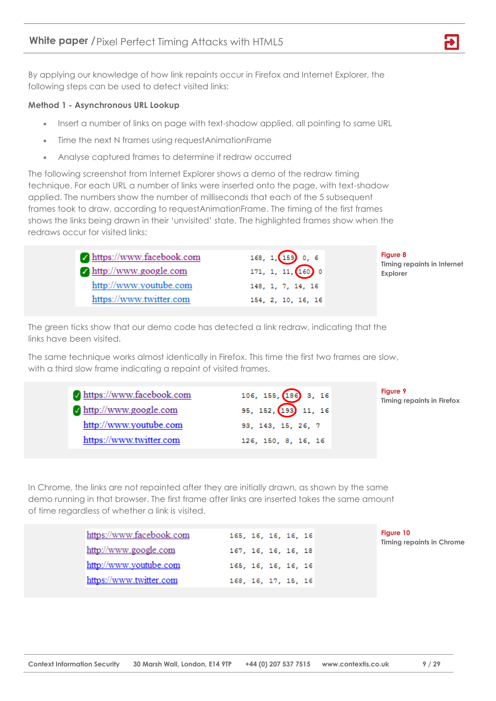By applying our knowledge of how link repaints occur in Firefox and Internet Explorer, the following steps can be used to detect visited links:

#### **Method 1 - Asynchronous URL Lookup**

- Insert a number of links on page with text-shadow applied, all pointing to same URL
- Time the next N frames using requestAnimationFrame
- Analyse captured frames to determine if redraw occurred

The following screenshot from Internet Explorer shows a demo of the redraw timing technique. For each URL a number of links were inserted onto the page, with text-shadow applied. The numbers show the number of milliseconds that each of the 5 subsequent frames took to draw, according to requestAnimationFrame. The timing of the first frames shows the links being drawn in their 'unvisited' state. The highlighted frames show when the redraws occur for visited links:

| https://www.facebook.com<br>$\sqrt{\frac{http://www.google.com}{http://www.google.com}}$ | 168, 1, 159 0, 6<br>$171, 1, 11, 160$ 0 | <b>Figure 8</b><br>Timing repaints in Internet<br><b>Explorer</b> |
|------------------------------------------------------------------------------------------|-----------------------------------------|-------------------------------------------------------------------|
| http://www.youtube.com                                                                   | 148, 1, 7, 14, 16                       |                                                                   |
| https://www.twitter.com                                                                  | 154, 2, 10, 16, 16                      |                                                                   |

The green ticks show that our demo code has detected a link redraw, indicating that the links have been visited.

The same technique works almost identically in Firefox. This time the first two frames are slow, with a third slow frame indicating a repaint of visited frames.

| √ https://www.facebook.com<br>http://www.google.com<br>http://www.youtube.com | 106, 155, 186 3, 16<br>95, 152, 193, 11, 16<br>93, 143, 15, 26, 7 | <b>Figure 9</b><br><b>Timing repaints in Firefox</b> |
|-------------------------------------------------------------------------------|-------------------------------------------------------------------|------------------------------------------------------|
| https://www.twitter.com                                                       | 126, 150, 8, 16, 16                                               |                                                      |

In Chrome, the links are not repainted after they are initially drawn, as shown by the same demo running in that browser. The first frame after links are inserted takes the same amount of time regardless of whether a link is visited.

| https://www.facebook.com | 165, 16, 16, 16, 16 |
|--------------------------|---------------------|
| http://www.google.com    | 167, 16, 16, 16, 18 |
| http://www.youtube.com   | 165, 16, 16, 16, 16 |
| https://www.twitter.com  | 168, 16, 17, 15, 16 |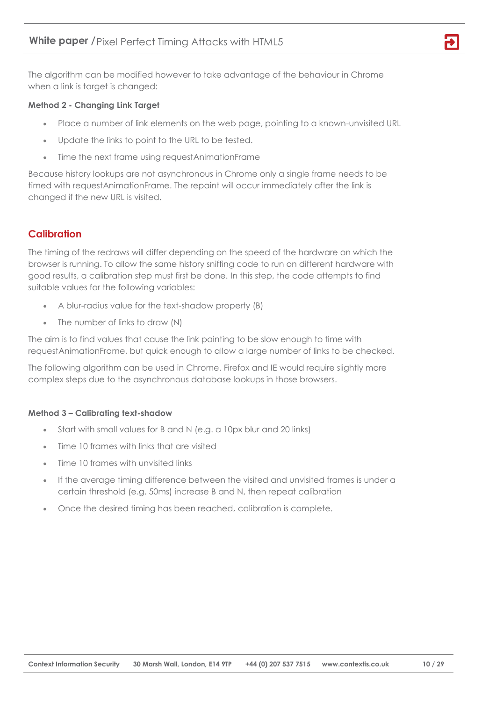The algorithm can be modified however to take advantage of the behaviour in Chrome when a link is target is changed:

#### **Method 2 - Changing Link Target**

- Place a number of link elements on the web page, pointing to a known-unvisited URL
- Update the links to point to the URL to be tested.
- Time the next frame using requestAnimationFrame

Because history lookups are not asynchronous in Chrome only a single frame needs to be timed with requestAnimationFrame. The repaint will occur immediately after the link is changed if the new URL is visited.

# <span id="page-9-0"></span>**Calibration**

The timing of the redraws will differ depending on the speed of the hardware on which the browser is running. To allow the same history sniffing code to run on different hardware with good results, a calibration step must first be done. In this step, the code attempts to find suitable values for the following variables:

- A blur-radius value for the text-shadow property (B)
- The number of links to draw (N)

The aim is to find values that cause the link painting to be slow enough to time with requestAnimationFrame, but quick enough to allow a large number of links to be checked.

The following algorithm can be used in Chrome. Firefox and IE would require slightly more complex steps due to the asynchronous database lookups in those browsers.

#### **Method 3 – Calibrating text-shadow**

- Start with small values for B and N (e.g. a 10px blur and 20 links)
- Time 10 frames with links that are visited
- Time 10 frames with unvisited links
- If the average timing difference between the visited and unvisited frames is under a certain threshold (e.g. 50ms) increase B and N, then repeat calibration
- Once the desired timing has been reached, calibration is complete.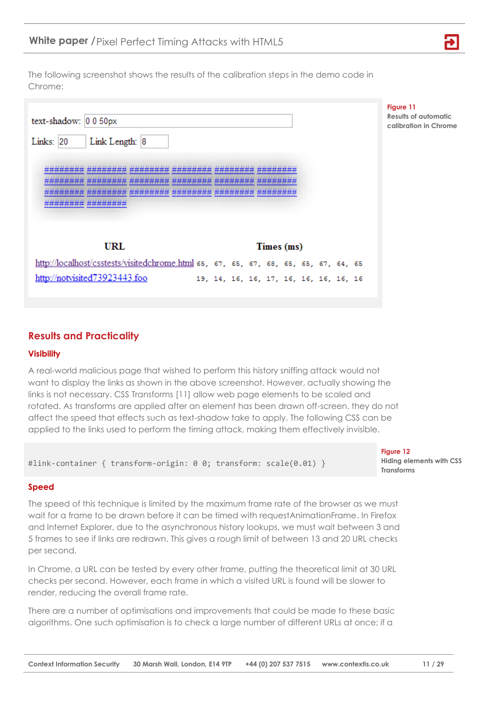The following screenshot shows the results of the calibration steps in the demo code in Chrome:

| text-shadow: 0 0 50px<br>Links: 20<br>Link Length: 8                                | Figure 11<br><b>Results of automatic</b><br>calibration in Chrome |
|-------------------------------------------------------------------------------------|-------------------------------------------------------------------|
| ,,,,,,,,,,,,,,,,,,,,,,,,,,<br><b>Hilderman</b><br>*##### ########                   |                                                                   |
| <b>URL</b><br>Times (ms)                                                            |                                                                   |
| http://localhost/csstests/visitedchrome.html 65, 67, 65, 67, 68, 65, 65, 67, 64, 65 |                                                                   |
| http://notvisited73923443.foo<br>19, 14, 16, 16, 17, 16, 16, 16, 16, 16             |                                                                   |

# <span id="page-10-0"></span>**Results and Practicality**

#### <span id="page-10-1"></span>**Visibility**

A real-world malicious page that wished to perform this history sniffing attack would not want to display the links as shown in the above screenshot. However, actually showing the links is not necessary. CSS Transforms [11] allow web page elements to be scaled and rotated. As transforms are applied after an element has been drawn off-screen, they do not affect the speed that effects such as text-shadow take to apply. The following CSS can be applied to the links used to perform the timing attack, making them effectively invisible.

#link-container { transform-origin: 0 0; transform: scale(0.01) }

#### <span id="page-10-2"></span>**Speed**

The speed of this technique is limited by the maximum frame rate of the browser as we must wait for a frame to be drawn before it can be timed with requestAnimationFrame. In Firefox and Internet Explorer, due to the asynchronous history lookups, we must wait between 3 and 5 frames to see if links are redrawn. This gives a rough limit of between 13 and 20 URL checks per second.

In Chrome, a URL can be tested by every other frame, putting the theoretical limit at 30 URL checks per second. However, each frame in which a visited URL is found will be slower to render, reducing the overall frame rate.

There are a number of optimisations and improvements that could be made to these basic algorithms. One such optimisation is to check a large number of different URLs at once; if a

**Figure 12 Hiding elements with CSS Transforms**

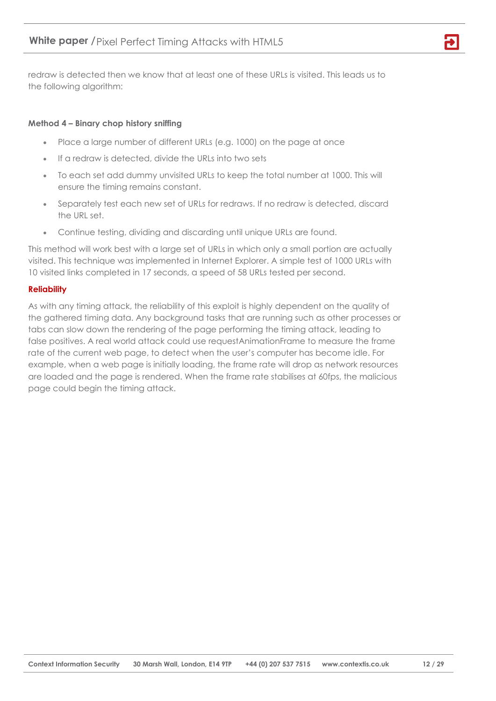redraw is detected then we know that at least one of these URLs is visited. This leads us to the following algorithm:

#### **Method 4 – Binary chop history sniffing**

- Place a large number of different URLs (e.g. 1000) on the page at once
- If a redraw is detected, divide the URLs into two sets
- To each set add dummy unvisited URLs to keep the total number at 1000. This will ensure the timing remains constant.
- Separately test each new set of URLs for redraws. If no redraw is detected, discard the URL set.
- Continue testing, dividing and discarding until unique URLs are found.

This method will work best with a large set of URLs in which only a small portion are actually visited. This technique was implemented in Internet Explorer. A simple test of 1000 URLs with 10 visited links completed in 17 seconds, a speed of 58 URLs tested per second.

#### <span id="page-11-0"></span>**Reliability**

As with any timing attack, the reliability of this exploit is highly dependent on the quality of the gathered timing data. Any background tasks that are running such as other processes or tabs can slow down the rendering of the page performing the timing attack, leading to false positives. A real world attack could use requestAnimationFrame to measure the frame rate of the current web page, to detect when the user's computer has become idle. For example, when a web page is initially loading, the frame rate will drop as network resources are loaded and the page is rendered. When the frame rate stabilises at 60fps, the malicious page could begin the timing attack.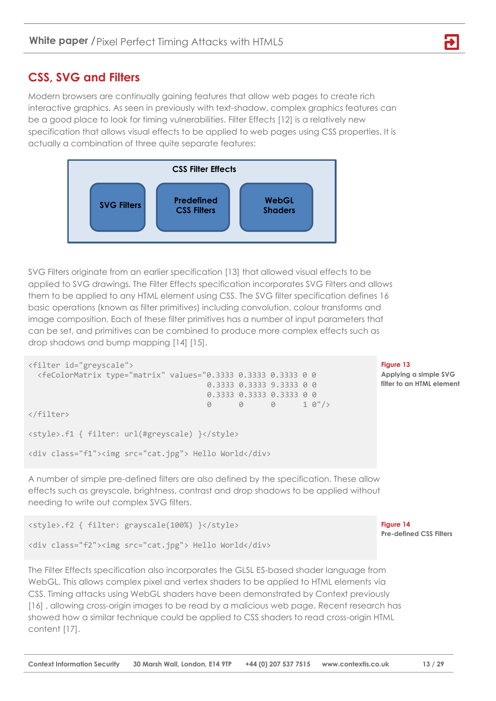# <span id="page-12-0"></span>**CSS, SVG and Filters**

Modern browsers are continually gaining features that allow web pages to create rich interactive graphics. As seen in previously with text-shadow, complex graphics features can be a good place to look for timing vulnerabilities. Filter Effects [12] is a relatively new specification that allows visual effects to be applied to web pages using CSS properties. It is actually a combination of three quite separate features:



SVG Filters originate from an earlier specification [13] that allowed visual effects to be applied to SVG drawings. The Filter Effects specification incorporates SVG Filters and allows them to be applied to any HTML element using CSS. The SVG filter specification defines 16 basic operations (known as filter primitives) including convolution, colour transforms and image composition. Each of these filter primitives has a number of input parameters that can be set, and primitives can be combined to produce more complex effects such as drop shadows and bump mapping [14] [15].

```
<filter id="greyscale">
  <feColorMatrix type="matrix" values="0.3333 0.3333 0.3333 0 0
                                  0.3333 0.3333 9.3333 0 0
                                 0.3333 0.3333 0 0<br>0 0 0 0 1 0"/>
 0 0 0 1 0"/>
</filter>
<style>.f1 { filter: url(#greyscale) }</style>
```

```
<div class="f1"><img src="cat.jpg"> Hello World</div>
```
A number of simple pre-defined filters are also defined by the specification. These allow effects such as greyscale, brightness, contrast and drop shadows to be applied without needing to write out complex SVG filters.

<style>.f2 { filter: grayscale(100%) }</style> <div class="f2"><img src="cat.jpg"> Hello World</div>

The Filter Effects specification also incorporates the GLSL ES-based shader language from WebGL. This allows complex pixel and vertex shaders to be applied to HTML elements via CSS. Timing attacks using WebGL shaders have been demonstrated by Context previously [16] , allowing cross-origin images to be read by a malicious web page. Recent research has showed how a similar technique could be applied to CSS shaders to read cross-origin HTML content [17].

#### **Figure 13**

**Applying a simple SVG filter to an HTML element**

**Figure 14 Pre-defined CSS Filters**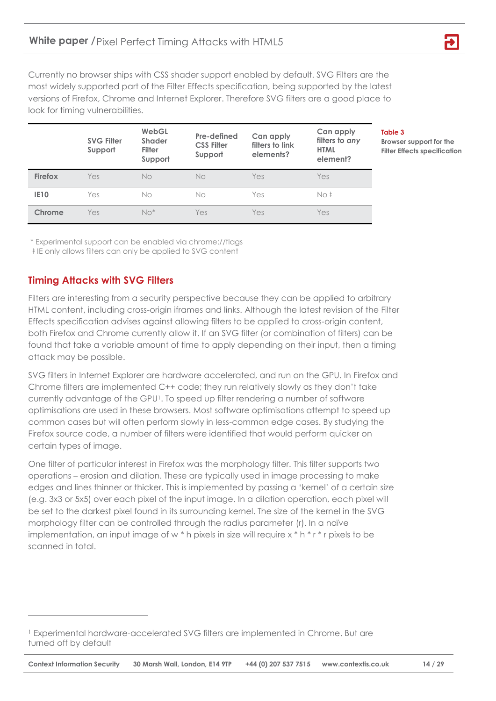Currently no browser ships with CSS shader support enabled by default. SVG Filters are the most widely supported part of the Filter Effects specification, being supported by the latest versions of Firefox, Chrome and Internet Explorer. Therefore SVG filters are a good place to look for timing vulnerabilities.

|             | <b>SVG Filter</b><br>Support | WebGL<br><b>Shader</b><br><b>Filter</b><br>Support | Pre-defined<br><b>CSS Filter</b><br>Support | Can apply<br>filters to link<br>elements? | Can apply<br>filters to any<br><b>HTML</b><br>element? |
|-------------|------------------------------|----------------------------------------------------|---------------------------------------------|-------------------------------------------|--------------------------------------------------------|
| Firefox     | Yes                          | No                                                 | No                                          | Yes                                       | Yes                                                    |
| <b>IE10</b> | Yes                          | No                                                 | No                                          | Yes                                       | No‡                                                    |
| Chrome      | Yes                          | $No*$                                              | Yes                                         | Yes                                       | Yes                                                    |

**Table 3**

**Browser support for the Filter Effects specification**

\* Experimental support can be enabled via chrome://flags

ŧ IE only allows filters can only be applied to SVG content

## <span id="page-13-0"></span>**Timing Attacks with SVG Filters**

 $\overline{a}$ 

Filters are interesting from a security perspective because they can be applied to arbitrary HTML content, including cross-origin iframes and links. Although the latest revision of the Filter Effects specification advises against allowing filters to be applied to cross-origin content, both Firefox and Chrome currently allow it. If an SVG filter (or combination of filters) can be found that take a variable amount of time to apply depending on their input, then a timing attack may be possible.

SVG filters in Internet Explorer are hardware accelerated, and run on the GPU. In Firefox and Chrome filters are implemented C++ code; they run relatively slowly as they don't take currently advantage of the GPU1. To speed up filter rendering a number of software optimisations are used in these browsers. Most software optimisations attempt to speed up common cases but will often perform slowly in less-common edge cases. By studying the Firefox source code, a number of filters were identified that would perform quicker on certain types of image.

One filter of particular interest in Firefox was the morphology filter. This filter supports two operations – erosion and dilation. These are typically used in image processing to make edges and lines thinner or thicker. This is implemented by passing a 'kernel' of a certain size (e.g. 3x3 or 5x5) over each pixel of the input image. In a dilation operation, each pixel will be set to the darkest pixel found in its surrounding kernel. The size of the kernel in the SVG morphology filter can be controlled through the radius parameter (r). In a naïve implementation, an input image of w \* h pixels in size will require x \* h \* r \* r pixels to be scanned in total.

<sup>1</sup> Experimental hardware-accelerated SVG filters are implemented in Chrome. But are turned off by default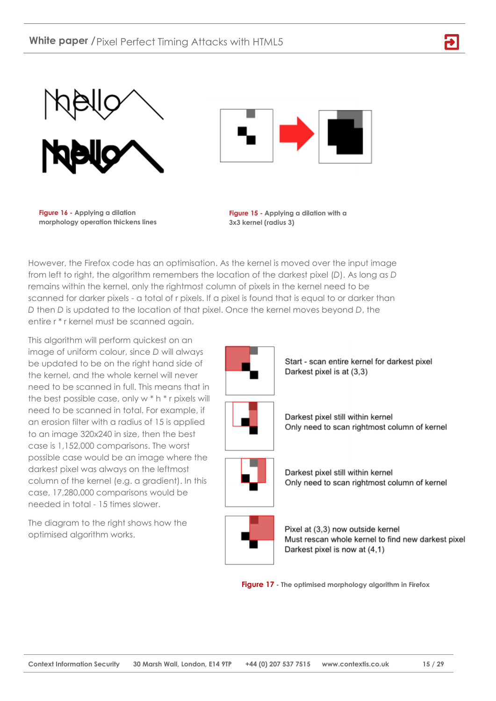



**Figure 16 - Applying a dilation morphology operation thickens lines** 

**Figure 15 - Applying a dilation with a 3x3 kernel (radius 3)**

However, the Firefox code has an optimisation. As the kernel is moved over the input image from left to right, the algorithm remembers the location of the darkest pixel (*D*). As long as *D* remains within the kernel, only the rightmost column of pixels in the kernel need to be scanned for darker pixels - a total of r pixels. If a pixel is found that is equal to or darker than *D* then *D* is updated to the location of that pixel. Once the kernel moves beyond *D*, the entire r \* r kernel must be scanned again.

This algorithm will perform quickest on an image of uniform colour, since *D* will always be updated to be on the right hand side of the kernel, and the whole kernel will never need to be scanned in full. This means that in the best possible case, only w \* h \* r pixels will need to be scanned in total. For example, if an erosion filter with a radius of 15 is applied to an image 320x240 in size, then the best case is 1,152,000 comparisons. The worst possible case would be an image where the darkest pixel was always on the leftmost column of the kernel (e.g. a gradient). In this case, 17,280,000 comparisons would be needed in total - 15 times slower.

The diagram to the right shows how the optimised algorithm works.



Start - scan entire kernel for darkest pixel Darkest pixel is at (3.3)



Darkest pixel still within kernel Only need to scan rightmost column of kernel



Darkest pixel still within kernel Only need to scan rightmost column of kernel



Pixel at (3,3) now outside kernel Must rescan whole kernel to find new darkest pixel Darkest pixel is now at (4,1)

**Figure 17 - The optimised morphology algorithm in Firefox**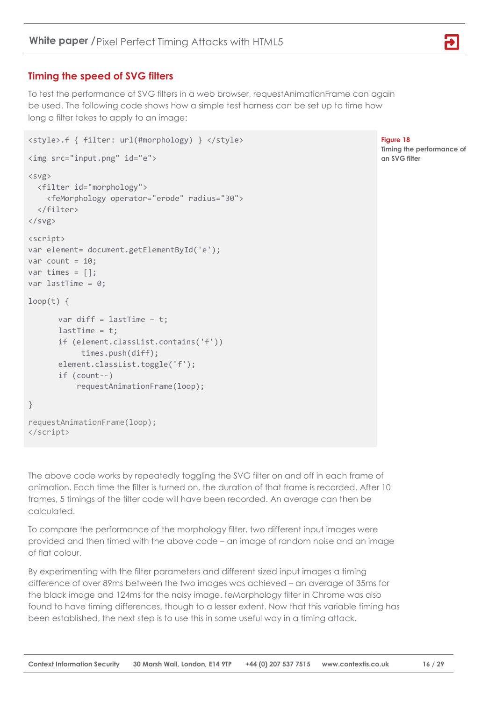# <span id="page-15-0"></span>**Timing the speed of SVG filters**

To test the performance of SVG filters in a web browser, requestAnimationFrame can again be used. The following code shows how a simple test harness can be set up to time how long a filter takes to apply to an image:

```
<style>.f { filter: url(#morphology) } </style>
<img src="input.png" id="e">
<svg>
   <filter id="morphology">
     <feMorphology operator="erode" radius="30">
   </filter>
\langle/svg>
<script>
var element= document.getElementById('e');
var count = 10;
var times = [ ];
var lastTime = 0;
loop(t) {
      var diff = lastTime - t;
      lastTime = t;if (element.classList.contains('f'))
             times.push(diff);
      element.classList.toggle('f');
      if (count--)
            requestAnimationFrame(loop);
}
requestAnimationFrame(loop);
</script>
```
**Figure 18**

**Timing the performance of an SVG filter**

The above code works by repeatedly toggling the SVG filter on and off in each frame of animation. Each time the filter is turned on, the duration of that frame is recorded. After 10 frames, 5 timings of the filter code will have been recorded. An average can then be calculated.

To compare the performance of the morphology filter, two different input images were provided and then timed with the above code – an image of random noise and an image of flat colour.

By experimenting with the filter parameters and different sized input images a timing difference of over 89ms between the two images was achieved – an average of 35ms for the black image and 124ms for the noisy image. feMorphology filter in Chrome was also found to have timing differences, though to a lesser extent. Now that this variable timing has been established, the next step is to use this in some useful way in a timing attack.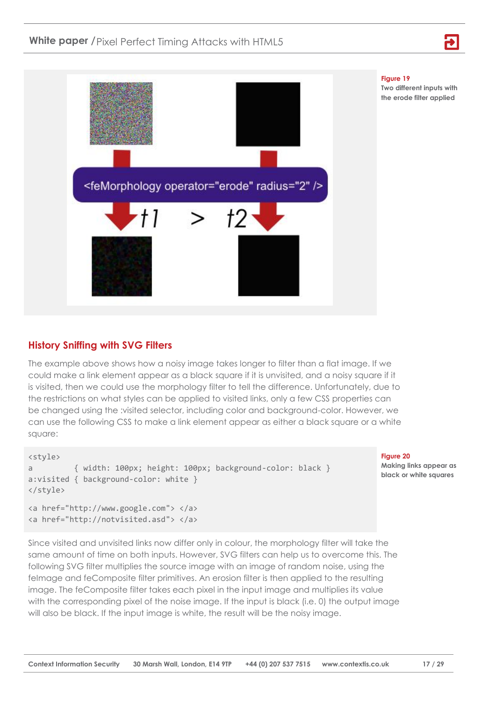



### <span id="page-16-0"></span>**History Sniffing with SVG Filters**

The example above shows how a noisy image takes longer to filter than a flat image. If we could make a link element appear as a black square if it is unvisited, and a noisy square if it is visited, then we could use the morphology filter to tell the difference. Unfortunately, due to the restrictions on what styles can be applied to visited links, only a few CSS properties can be changed using the :visited selector, including color and background-color. However, we can use the following CSS to make a link element appear as either a black square or a white square:

```
<style>
a { width: 100px; height: 100px; background-color: black }
a:visited { background-color: white }
</style>
<a href="http://www.google.com"> </a>
<a href="http://notvisited.asd"> </a>
```
#### **Figure 20**

**Making links appear as black or white squares**

Since visited and unvisited links now differ only in colour, the morphology filter will take the same amount of time on both inputs. However, SVG filters can help us to overcome this. The following SVG filter multiplies the source image with an image of random noise, using the felmage and feComposite filter primitives. An erosion filter is then applied to the resulting image. The feComposite filter takes each pixel in the input image and multiplies its value with the corresponding pixel of the noise image. If the input is black (i.e. 0) the output image will also be black. If the input image is white, the result will be the noisy image.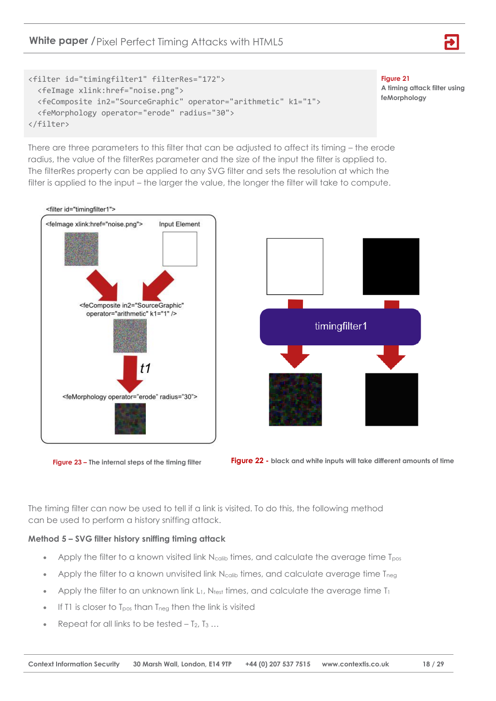## **White paper /** Pixel Perfect Timing Attacks with HTML5



**Figure 21 A timing attack filter using feMorphology**

There are three parameters to this filter that can be adjusted to affect its timing – the erode radius, the value of the filterRes parameter and the size of the input the filter is applied to. The filterRes property can be applied to any SVG filter and sets the resolution at which the filter is applied to the input – the larger the value, the longer the filter will take to compute.









The timing filter can now be used to tell if a link is visited. To do this, the following method can be used to perform a history sniffing attack.

#### **Method 5 – SVG filter history sniffing timing attack**

- Apply the filter to a known visited link  $N_{\text{calib}}$  times, and calculate the average time  $T_{\text{pos}}$
- Apply the filter to a known unvisited link N<sub>calib</sub> times, and calculate average time T<sub>neg</sub>
- Apply the filter to an unknown link  $L_1$ , Ntest times, and calculate the average time  $T_1$
- If T1 is closer to  $T_{\text{pos}}$  than  $T_{\text{neg}}$  then the link is visited
- Repeat for all links to be tested  $-$  T<sub>2</sub>, T<sub>3</sub> ...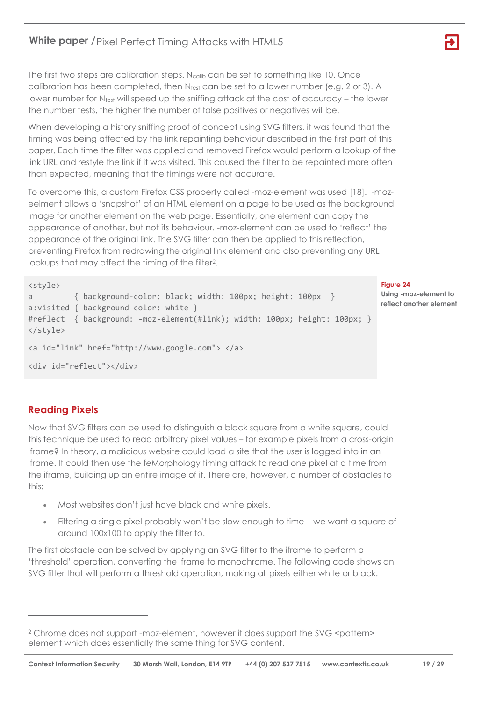The first two steps are calibration steps.  $N_{\text{calib}}$  can be set to something like 10. Once calibration has been completed, then  $N_{test}$  can be set to a lower number (e.g. 2 or 3). A lower number for Ntest will speed up the sniffing attack at the cost of accuracy – the lower the number tests, the higher the number of false positives or negatives will be.

When developing a history sniffing proof of concept using SVG filters, it was found that the timing was being affected by the link repainting behaviour described in the first part of this paper. Each time the filter was applied and removed Firefox would perform a lookup of the link URL and restyle the link if it was visited. This caused the filter to be repainted more often than expected, meaning that the timings were not accurate.

To overcome this, a custom Firefox CSS property called -moz-element was used [18]. -mozeelment allows a 'snapshot' of an HTML element on a page to be used as the background image for another element on the web page. Essentially, one element can copy the appearance of another, but not its behaviour. -moz-element can be used to 'reflect' the appearance of the original link. The SVG filter can then be applied to this reflection, preventing Firefox from redrawing the original link element and also preventing any URL lookups that may affect the timing of the filter2.

```
<style>
a { background-color: black; width: 100px; height: 100px }
a:visited { background-color: white }
#reflect { background: -moz-element(#link); width: 100px; height: 100px; }
</style>
<a id="link" href="http://www.google.com"> </a>
<div id="reflect"></div>
```
#### **Figure 24**

**Using -moz-element to reflect another element**

# <span id="page-18-0"></span>**Reading Pixels**

 $\overline{a}$ 

Now that SVG filters can be used to distinguish a black square from a white square, could this technique be used to read arbitrary pixel values – for example pixels from a cross-origin iframe? In theory, a malicious website could load a site that the user is logged into in an iframe. It could then use the feMorphology timing attack to read one pixel at a time from the iframe, building up an entire image of it. There are, however, a number of obstacles to this:

- Most websites don't just have black and white pixels.
- Filtering a single pixel probably won't be slow enough to time we want a square of around 100x100 to apply the filter to.

The first obstacle can be solved by applying an SVG filter to the iframe to perform a 'threshold' operation, converting the iframe to monochrome. The following code shows an SVG filter that will perform a threshold operation, making all pixels either white or black.

<sup>&</sup>lt;sup>2</sup> Chrome does not support -moz-element, however it does support the SVG <pattern> element which does essentially the same thing for SVG content.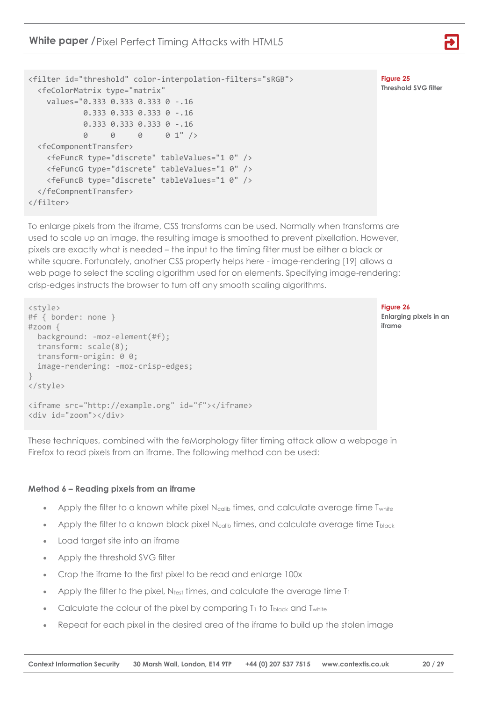**White paper /** Pixel Perfect Timing Attacks with HTML5



**Figure 25 Threshold SVG filter**

```
<filter id="threshold" color-interpolation-filters="sRGB">
   <feColorMatrix type="matrix" 
     values="0.333 0.333 0.333 0 -.16
             0.333 0.333 0.333 0 -.16
             0.333 0.333 0.333 0 -.16
             0 0 0 0 1" />
   <feComponentTransfer>
     <feFuncR type="discrete" tableValues="1 0" />
     <feFuncG type="discrete" tableValues="1 0" />
     <feFuncB type="discrete" tableValues="1 0" />
   </feCompnentTransfer>
</filter>
```
To enlarge pixels from the iframe, CSS transforms can be used. Normally when transforms are used to scale up an image, the resulting image is smoothed to prevent pixellation. However, pixels are exactly what is needed – the input to the timing filter must be either a black or white square. Fortunately, another CSS property helps here - image-rendering [19] allows a web page to select the scaling algorithm used for on elements. Specifying image-rendering: crisp-edges instructs the browser to turn off any smooth scaling algorithms.

```
<style>
#f { border: none }
#zoom { 
  background: -moz-element(#f);
  transform: scale(8);
  transform-origin: 0 0;
   image-rendering: -moz-crisp-edges;
}
</style>
<iframe src="http://example.org" id="f"></iframe>
<div id="zoom"></div>
```
**Figure 26**

**Enlarging pixels in an iframe**

These techniques, combined with the feMorphology filter timing attack allow a webpage in Firefox to read pixels from an iframe. The following method can be used:

#### **Method 6 – Reading pixels from an iframe**

- Apply the filter to a known white pixel  $N_{\text{calib}}$  times, and calculate average time  $T_{\text{white}}$
- Apply the filter to a known black pixel  $N_{\text{calib}}$  times, and calculate average time  $T_{\text{black}}$
- Load target site into an iframe
- Apply the threshold SVG filter
- Crop the iframe to the first pixel to be read and enlarge 100x
- Apply the filter to the pixel, Ntest times, and calculate the average time T<sub>1</sub>
- Calculate the colour of the pixel by comparing  $T_1$  to  $T_{black}$  and  $T_{white}$
- Repeat for each pixel in the desired area of the iframe to build up the stolen image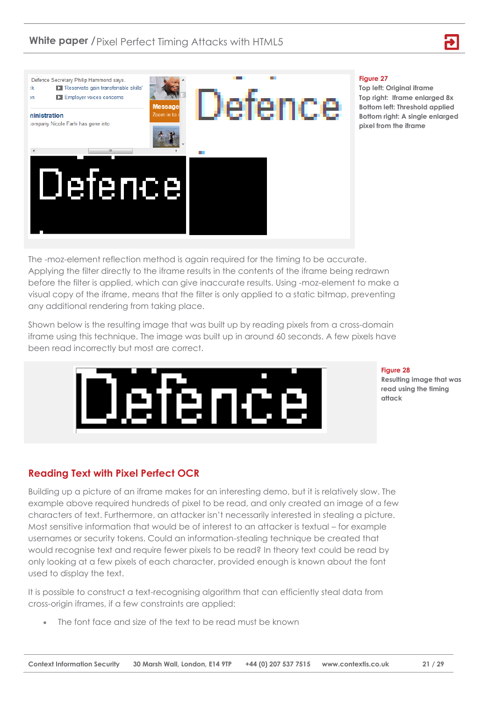

#### **Figure 27**

**Top left: Original iframe Top right: Iframe enlarged 8x Bottom left: Threshold applied Bottom right: A single enlarged pixel from the iframe**

The -moz-element reflection method is again required for the timing to be accurate. Applying the filter directly to the iframe results in the contents of the iframe being redrawn before the filter is applied, which can give inaccurate results. Using -moz-element to make a visual copy of the iframe, means that the filter is only applied to a static bitmap, preventing any additional rendering from taking place.

Shown below is the resulting image that was built up by reading pixels from a cross-domain iframe using this technique. The image was built up in around 60 seconds. A few pixels have been read incorrectly but most are correct.



**Figure 28**

**Resulting image that was read using the timing attack**

# <span id="page-20-0"></span>**Reading Text with Pixel Perfect OCR**

Building up a picture of an iframe makes for an interesting demo, but it is relatively slow. The example above required hundreds of pixel to be read, and only created an image of a few characters of text. Furthermore, an attacker isn't necessarily interested in stealing a picture. Most sensitive information that would be of interest to an attacker is textual – for example usernames or security tokens. Could an information-stealing technique be created that would recognise text and require fewer pixels to be read? In theory text could be read by only looking at a few pixels of each character, provided enough is known about the font used to display the text.

It is possible to construct a text-recognising algorithm that can efficiently steal data from cross-origin iframes, if a few constraints are applied:

The font face and size of the text to be read must be known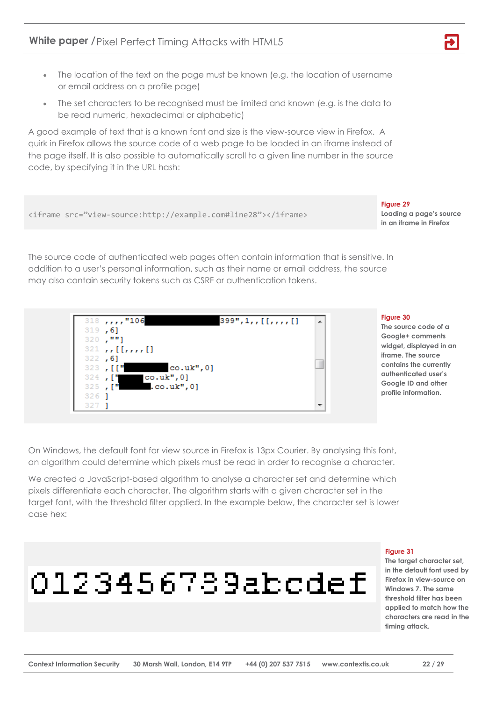- The location of the text on the page must be known (e.g. the location of username or email address on a profile page)
- The set characters to be recognised must be limited and known (e.g. is the data to be read numeric, hexadecimal or alphabetic)

A good example of text that is a known font and size is the view-source view in Firefox. A quirk in Firefox allows the source code of a web page to be loaded in an iframe instead of the page itself. It is also possible to automatically scroll to a given line number in the source code, by specifying it in the URL hash:



On Windows, the default font for view source in Firefox is 13px Courier. By analysing this font, an algorithm could determine which pixels must be read in order to recognise a character.

We created a JavaScript-based algorithm to analyse a character set and determine which pixels differentiate each character. The algorithm starts with a given character set in the target font, with the threshold filter applied. In the example below, the character set is lower case hex:

# 0123456789abcdef

#### **Figure 31**

**Figure 29**

**The target character set, in the default font used by Firefox in view-source on Windows 7. The same threshold filter has been applied to match how the characters are read in the timing attack.**

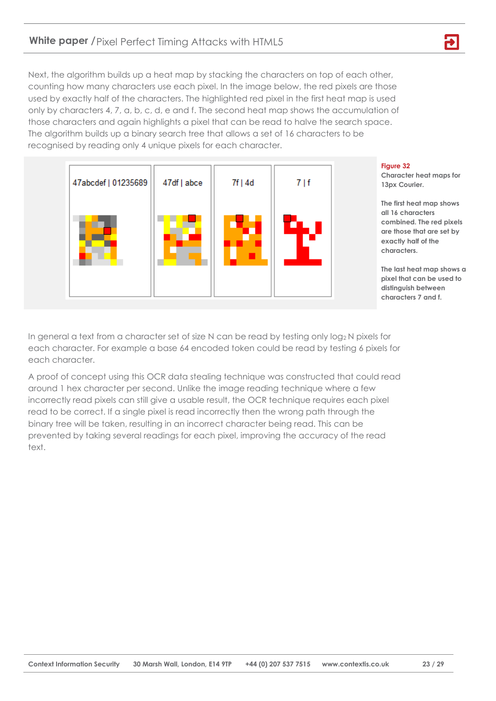Next, the algorithm builds up a heat map by stacking the characters on top of each other, counting how many characters use each pixel. In the image below, the red pixels are those used by exactly half of the characters. The highlighted red pixel in the first heat map is used only by characters 4, 7, a, b, c, d, e and f. The second heat map shows the accumulation of those characters and again highlights a pixel that can be read to halve the search space. The algorithm builds up a binary search tree that allows a set of 16 characters to be recognised by reading only 4 unique pixels for each character.



#### **Figure 32**

**Character heat maps for 13px Courier.**

**The first heat map shows all 16 characters combined. The red pixels are those that are set by exactly half of the characters.** 

**The last heat map shows a pixel that can be used to distinguish between characters 7 and f.**

In general a text from a character set of size N can be read by testing only log<sup>2</sup> N pixels for each character. For example a base 64 encoded token could be read by testing 6 pixels for each character.

A proof of concept using this OCR data stealing technique was constructed that could read around 1 hex character per second. Unlike the image reading technique where a few incorrectly read pixels can still give a usable result, the OCR technique requires each pixel read to be correct. If a single pixel is read incorrectly then the wrong path through the binary tree will be taken, resulting in an incorrect character being read. This can be prevented by taking several readings for each pixel, improving the accuracy of the read text.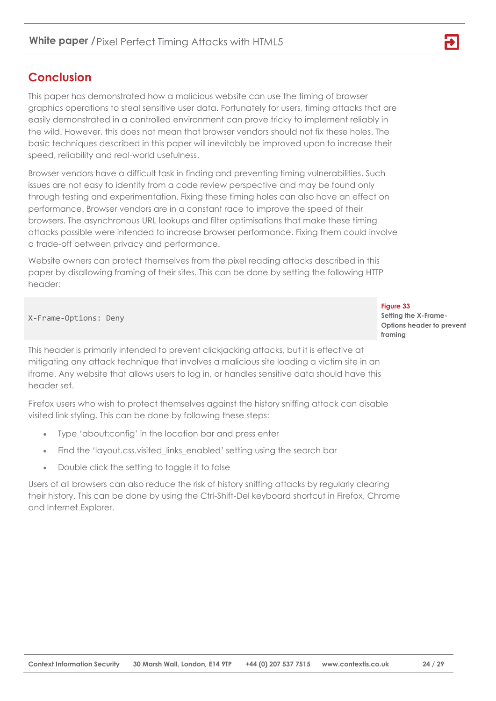# <span id="page-23-0"></span>**Conclusion**

This paper has demonstrated how a malicious website can use the timing of browser graphics operations to steal sensitive user data. Fortunately for users, timing attacks that are easily demonstrated in a controlled environment can prove tricky to implement reliably in the wild. However, this does not mean that browser vendors should not fix these holes. The basic techniques described in this paper will inevitably be improved upon to increase their speed, reliability and real-world usefulness.

Browser vendors have a difficult task in finding and preventing timing vulnerabilities. Such issues are not easy to identify from a code review perspective and may be found only through testing and experimentation. Fixing these timing holes can also have an effect on performance. Browser vendors are in a constant race to improve the speed of their browsers. The asynchronous URL lookups and filter optimisations that make these timing attacks possible were intended to increase browser performance. Fixing them could involve a trade-off between privacy and performance.

Website owners can protect themselves from the pixel reading attacks described in this paper by disallowing framing of their sites. This can be done by setting the following HTTP header:

X-Frame-Options: Deny

This header is primarily intended to prevent clickjacking attacks, but it is effective at mitigating any attack technique that involves a malicious site loading a victim site in an iframe. Any website that allows users to log in, or handles sensitive data should have this header set.

Firefox users who wish to protect themselves against the history sniffing attack can disable visited link styling. This can be done by following these steps:

- Type 'about:config' in the location bar and press enter
- Find the 'layout.css.visited\_links\_enabled' setting using the search bar
- Double click the setting to toggle it to false

Users of all browsers can also reduce the risk of history sniffing attacks by regularly clearing their history. This can be done by using the Ctrl-Shift-Del keyboard shortcut in Firefox, Chrome and Internet Explorer.

**Figure 33 Setting the X-Frame-Options header to prevent framing**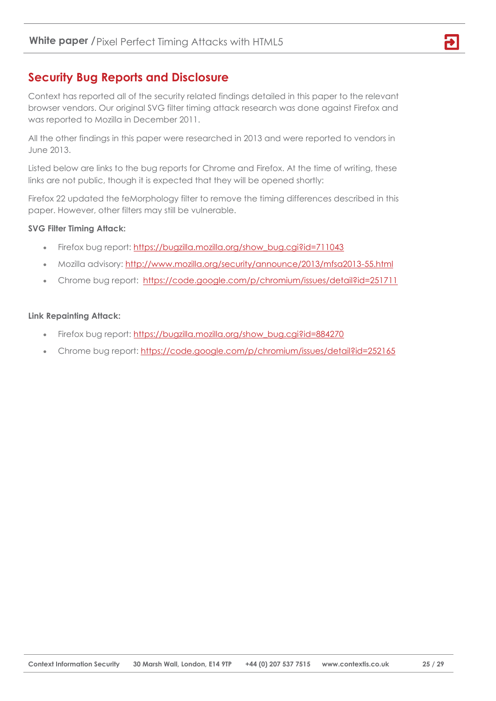# <span id="page-24-0"></span>**Security Bug Reports and Disclosure**

Context has reported all of the security related findings detailed in this paper to the relevant browser vendors. Our original SVG filter timing attack research was done against Firefox and was reported to Mozilla in December 2011.

All the other findings in this paper were researched in 2013 and were reported to vendors in June 2013.

Listed below are links to the bug reports for Chrome and Firefox. At the time of writing, these links are not public, though it is expected that they will be opened shortly:

Firefox 22 updated the feMorphology filter to remove the timing differences described in this paper. However, other filters may still be vulnerable.

#### **SVG Filter Timing Attack:**

- Firefox bug report: [https://bugzilla.mozilla.org/show\\_bug.cgi?id=711043](https://bugzilla.mozilla.org/show_bug.cgi?id=711043)
- Mozilla advisory:<http://www.mozilla.org/security/announce/2013/mfsa2013-55.html>
- Chrome bug report: <https://code.google.com/p/chromium/issues/detail?id=251711>

#### **Link Repainting Attack:**

- Firefox bug report: [https://bugzilla.mozilla.org/show\\_bug.cgi?id=884270](https://bugzilla.mozilla.org/show_bug.cgi?id=884270)
- Chrome bug report:<https://code.google.com/p/chromium/issues/detail?id=252165>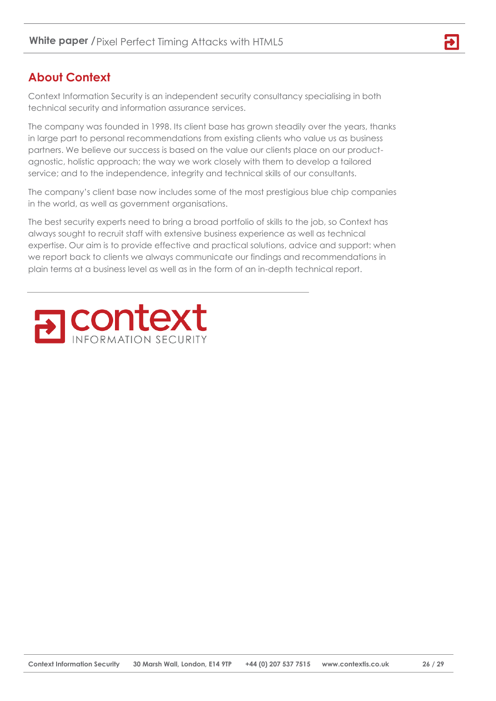# <span id="page-25-0"></span>**About Context**

Context Information Security is an independent security consultancy specialising in both technical security and information assurance services.

The company was founded in 1998. Its client base has grown steadily over the years, thanks in large part to personal recommendations from existing clients who value us as business partners. We believe our success is based on the value our clients place on our productagnostic, holistic approach; the way we work closely with them to develop a tailored service; and to the independence, integrity and technical skills of our consultants.

The company's client base now includes some of the most prestigious blue chip companies in the world, as well as government organisations.

The best security experts need to bring a broad portfolio of skills to the job, so Context has always sought to recruit staff with extensive business experience as well as technical expertise. Our aim is to provide effective and practical solutions, advice and support: when we report back to clients we always communicate our findings and recommendations in plain terms at a business level as well as in the form of an in-depth technical report.



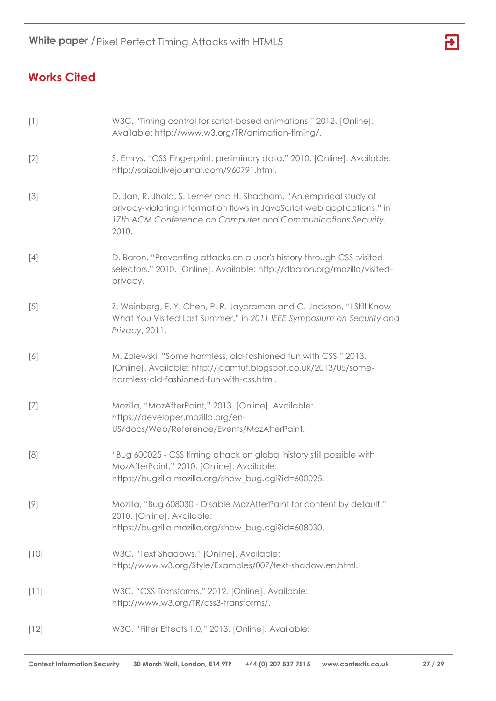

# <span id="page-26-0"></span>**Works Cited**

| $[1]$  | W3C, "Timing control for script-based animations," 2012. [Online].<br>Available: http://www.w3.org/TR/animation-timing/.                                                                                               |
|--------|------------------------------------------------------------------------------------------------------------------------------------------------------------------------------------------------------------------------|
| $[2]$  | S. Emrys, "CSS Fingerprint: preliminary data," 2010. [Online]. Available:<br>http://saizai.livejournal.com/960791.html.                                                                                                |
| $[3]$  | D. Jan, R. Jhala, S. Lerner and H. Shacham, "An empirical study of<br>privacy-violating information flows in JavaScript web applications," in<br>17th ACM Conference on Computer and Communications Security,<br>2010. |
| $[4]$  | D. Baron, "Preventing attacks on a user's history through CSS :visited<br>selectors," 2010. [Online]. Available: http://dbaron.org/mozilla/visited-<br>privacy.                                                        |
| $[5]$  | Z. Weinberg, E. Y. Chen, P. R. Jayaraman and C. Jackson, "I Still Know<br>What You Visited Last Summer," in 2011 IEEE Symposium on Security and<br>Privacy, 2011.                                                      |
| $[6]$  | M. Zalewski, "Some harmless, old-fashioned fun with CSS," 2013.<br>[Online]. Available: http://lcamtuf.blogspot.co.uk/2013/05/some-<br>harmless-old-fashioned-fun-with-css.html.                                       |
| $[7]$  | Mozilla, "MozAfterPaint," 2013. [Online]. Available:<br>https://developer.mozilla.org/en-<br>US/docs/Web/Reference/Events/MozAfterPaint.                                                                               |
| [8]    | "Bug 600025 - CSS timing attack on global history still possible with<br>MozAfterPaint," 2010. [Online]. Available:<br>https://bugzilla.mozilla.org/show_bug.cgi?id=600025.                                            |
| $[9]$  | Mozilla, "Bug 608030 - Disable MozAfterPaint for content by default,"<br>2010. [Online]. Available:<br>https://bugzilla.mozilla.org/show_bug.cgi?id=608030.                                                            |
| $[10]$ | W3C, "Text Shadows," [Online]. Available:<br>http://www.w3.org/Style/Examples/007/text-shadow.en.html.                                                                                                                 |
| $[11]$ | W3C, "CSS Transforms," 2012. [Online]. Available:<br>http://www.w3.org/TR/css3-transforms/.                                                                                                                            |
| $[12]$ | W3C, "Filter Effects 1.0," 2013. [Online]. Available:                                                                                                                                                                  |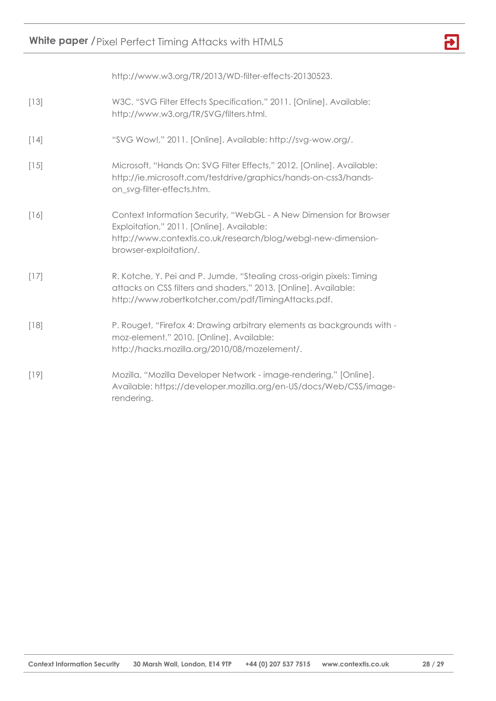# **White paper /** Pixel Perfect Timing Attacks with HTML5



http://www.w3.org/TR/2013/WD-filter-effects-20130523.

- [13] W3C, "SVG Filter Effects Specification," 2011. [Online]. Available: http://www.w3.org/TR/SVG/filters.html.
- [14] "SVG Wow!," 2011. [Online]. Available: http://svg-wow.org/.
- [15] Microsoft, "Hands On: SVG Filter Effects," 2012. [Online]. Available: http://ie.microsoft.com/testdrive/graphics/hands-on-css3/handson\_svg-filter-effects.htm.
- [16] Context Information Security, "WebGL A New Dimension for Browser Exploitation," 2011. [Online]. Available: http://www.contextis.co.uk/research/blog/webgl-new-dimensionbrowser-exploitation/.
- [17] R. Kotche, Y. Pei and P. Jumde, "Stealing cross-origin pixels: Timing attacks on CSS filters and shaders," 2013. [Online]. Available: http://www.robertkotcher.com/pdf/TimingAttacks.pdf.
- [18] P. Rouget, "Firefox 4: Drawing arbitrary elements as backgrounds with moz-element," 2010. [Online]. Available: http://hacks.mozilla.org/2010/08/mozelement/.
- [19] Mozilla, "Mozilla Developer Network image-rendering," [Online]. Available: https://developer.mozilla.org/en-US/docs/Web/CSS/imagerendering.